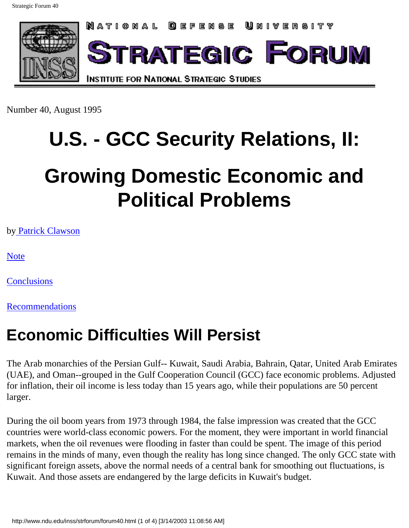

Number 40, August 1995

# **U.S. - GCC Security Relations, II:**

## **Growing Domestic Economic and Political Problems**

by [Patrick Clawson](http://www.ndu.edu/ndu/inss/staff/clawson.html)

[Note](http://www.ndu.edu/inss/strforum/disclaim.html)

**[Conclusions](http://www.ndu.edu/inss/strforum/forum40c.html)** 

**[Recommendations](http://www.ndu.edu/inss/strforum/forum40r.html)** 

### **Economic Difficulties Will Persist**

The Arab monarchies of the Persian Gulf-- Kuwait, Saudi Arabia, Bahrain, Qatar, United Arab Emirates (UAE), and Oman--grouped in the Gulf Cooperation Council (GCC) face economic problems. Adjusted for inflation, their oil income is less today than 15 years ago, while their populations are 50 percent larger.

During the oil boom years from 1973 through 1984, the false impression was created that the GCC countries were world-class economic powers. For the moment, they were important in world financial markets, when the oil revenues were flooding in faster than could be spent. The image of this period remains in the minds of many, even though the reality has long since changed. The only GCC state with significant foreign assets, above the normal needs of a central bank for smoothing out fluctuations, is Kuwait. And those assets are endangered by the large deficits in Kuwait's budget.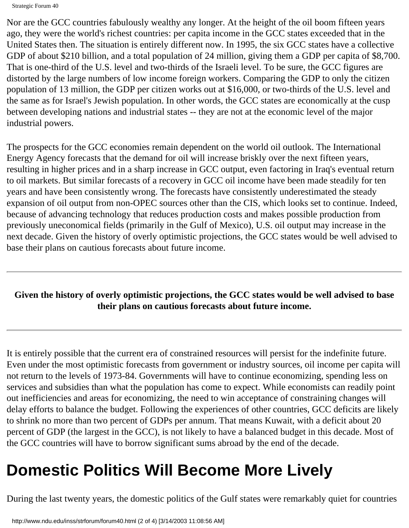Strategic Forum 40

Nor are the GCC countries fabulously wealthy any longer. At the height of the oil boom fifteen years ago, they were the world's richest countries: per capita income in the GCC states exceeded that in the United States then. The situation is entirely different now. In 1995, the six GCC states have a collective GDP of about \$210 billion, and a total population of 24 million, giving them a GDP per capita of \$8,700. That is one-third of the U.S. level and two-thirds of the Israeli level. To be sure, the GCC figures are distorted by the large numbers of low income foreign workers. Comparing the GDP to only the citizen population of 13 million, the GDP per citizen works out at \$16,000, or two-thirds of the U.S. level and the same as for Israel's Jewish population. In other words, the GCC states are economically at the cusp between developing nations and industrial states -- they are not at the economic level of the major industrial powers.

The prospects for the GCC economies remain dependent on the world oil outlook. The International Energy Agency forecasts that the demand for oil will increase briskly over the next fifteen years, resulting in higher prices and in a sharp increase in GCC output, even factoring in Iraq's eventual return to oil markets. But similar forecasts of a recovery in GCC oil income have been made steadily for ten years and have been consistently wrong. The forecasts have consistently underestimated the steady expansion of oil output from non-OPEC sources other than the CIS, which looks set to continue. Indeed, because of advancing technology that reduces production costs and makes possible production from previously uneconomical fields (primarily in the Gulf of Mexico), U.S. oil output may increase in the next decade. Given the history of overly optimistic projections, the GCC states would be well advised to base their plans on cautious forecasts about future income.

#### **Given the history of overly optimistic projections, the GCC states would be well advised to base their plans on cautious forecasts about future income.**

It is entirely possible that the current era of constrained resources will persist for the indefinite future. Even under the most optimistic forecasts from government or industry sources, oil income per capita will not return to the levels of 1973-84. Governments will have to continue economizing, spending less on services and subsidies than what the population has come to expect. While economists can readily point out inefficiencies and areas for economizing, the need to win acceptance of constraining changes will delay efforts to balance the budget. Following the experiences of other countries, GCC deficits are likely to shrink no more than two percent of GDPs per annum. That means Kuwait, with a deficit about 20 percent of GDP (the largest in the GCC), is not likely to have a balanced budget in this decade. Most of the GCC countries will have to borrow significant sums abroad by the end of the decade.

## **Domestic Politics Will Become More Lively**

During the last twenty years, the domestic politics of the Gulf states were remarkably quiet for countries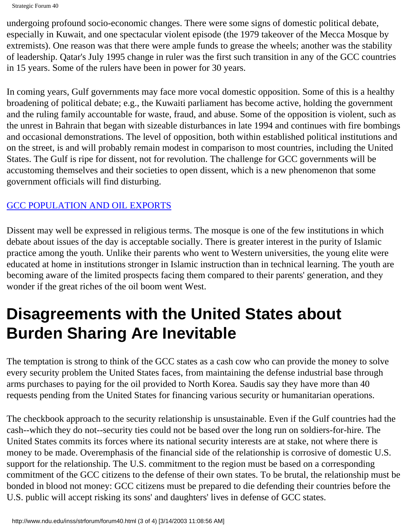Strategic Forum 40

undergoing profound socio-economic changes. There were some signs of domestic political debate, especially in Kuwait, and one spectacular violent episode (the 1979 takeover of the Mecca Mosque by extremists). One reason was that there were ample funds to grease the wheels; another was the stability of leadership. Qatar's July 1995 change in ruler was the first such transition in any of the GCC countries in 15 years. Some of the rulers have been in power for 30 years.

In coming years, Gulf governments may face more vocal domestic opposition. Some of this is a healthy broadening of political debate; e.g., the Kuwaiti parliament has become active, holding the government and the ruling family accountable for waste, fraud, and abuse. Some of the opposition is violent, such as the unrest in Bahrain that began with sizeable disturbances in late 1994 and continues with fire bombings and occasional demonstrations. The level of opposition, both within established political institutions and on the street, is and will probably remain modest in comparison to most countries, including the United States. The Gulf is ripe for dissent, not for revolution. The challenge for GCC governments will be accustoming themselves and their societies to open dissent, which is a new phenomenon that some government officials will find disturbing.

#### [GCC POPULATION AND OIL EXPORTS](http://www.ndu.edu/inss/strforum/forum40.gif)

Dissent may well be expressed in religious terms. The mosque is one of the few institutions in which debate about issues of the day is acceptable socially. There is greater interest in the purity of Islamic practice among the youth. Unlike their parents who went to Western universities, the young elite were educated at home in institutions stronger in Islamic instruction than in technical learning. The youth are becoming aware of the limited prospects facing them compared to their parents' generation, and they wonder if the great riches of the oil boom went West.

## **Disagreements with the United States about Burden Sharing Are Inevitable**

The temptation is strong to think of the GCC states as a cash cow who can provide the money to solve every security problem the United States faces, from maintaining the defense industrial base through arms purchases to paying for the oil provided to North Korea. Saudis say they have more than 40 requests pending from the United States for financing various security or humanitarian operations.

The checkbook approach to the security relationship is unsustainable. Even if the Gulf countries had the cash--which they do not--security ties could not be based over the long run on soldiers-for-hire. The United States commits its forces where its national security interests are at stake, not where there is money to be made. Overemphasis of the financial side of the relationship is corrosive of domestic U.S. support for the relationship. The U.S. commitment to the region must be based on a corresponding commitment of the GCC citizens to the defense of their own states. To be brutal, the relationship must be bonded in blood not money: GCC citizens must be prepared to die defending their countries before the U.S. public will accept risking its sons' and daughters' lives in defense of GCC states.